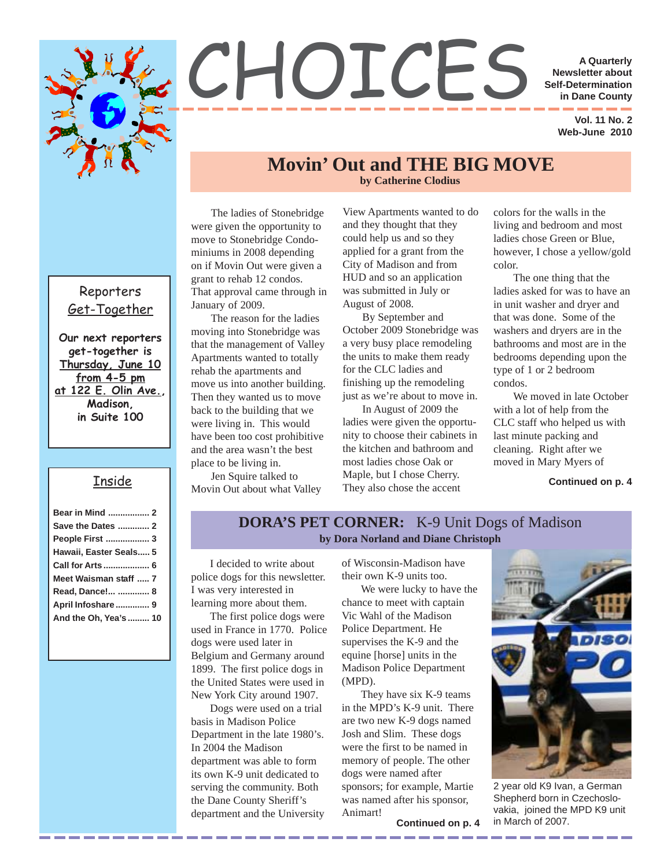

# CHOICES **A Quarterly**<br>
Self-Determination<br>
in Dane County

**Newsletter about Self-Determination in Dane County**

> **Vol. 11 No. 2 Web-June 2010**

#### **by Catherine Clodius Movin' Out and THE BIG MOVE**

The ladies of Stonebridge were given the opportunity to move to Stonebridge Condominiums in 2008 depending on if Movin Out were given a grant to rehab 12 condos. That approval came through in January of 2009.

The reason for the ladies moving into Stonebridge was that the management of Valley Apartments wanted to totally rehab the apartments and move us into another building. Then they wanted us to move back to the building that we were living in. This would have been too cost prohibitive and the area wasn't the best place to be living in.

Jen Squire talked to Movin Out about what Valley View Apartments wanted to do and they thought that they could help us and so they applied for a grant from the City of Madison and from HUD and so an application was submitted in July or August of 2008.

By September and October 2009 Stonebridge was a very busy place remodeling the units to make them ready for the CLC ladies and finishing up the remodeling just as we're about to move in.

most ladies chose Oak or In August of 2009 the ladies were given the opportunity to choose their cabinets in the kitchen and bathroom and Maple, but I chose Cherry. They also chose the accent

colors for the walls in the living and bedroom and most ladies chose Green or Blue, however, I chose a yellow/gold color.

The one thing that the ladies asked for was to have an in unit washer and dryer and that was done. Some of the washers and dryers are in the bathrooms and most are in the bedrooms depending upon the type of 1 or 2 bedroom condos.

We moved in late October with a lot of help from the CLC staff who helped us with last minute packing and cleaning. Right after we moved in Mary Myers of

**Continued on p. 4**

#### **DORA'S PET CORNER:** K-9 Unit Dogs of Madison **by Dora Norland and Diane Christoph**

I decided to write about police dogs for this newsletter. I was very interested in learning more about them.

The first police dogs were used in France in 1770. Police dogs were used later in Belgium and Germany around 1899. The first police dogs in the United States were used in New York City around 1907.

Dogs were used on a trial basis in Madison Police Department in the late 1980's. In 2004 the Madison department was able to form its own K-9 unit dedicated to serving the community. Both the Dane County Sheriff's department and the University

of Wisconsin-Madison have their own K-9 units too.

We were lucky to have the chance to meet with captain Vic Wahl of the Madison Police Department. He supervises the K-9 and the equine [horse] units in the Madison Police Department (MPD).

They have six K-9 teams in the MPD's K-9 unit. There are two new K-9 dogs named Josh and Slim. These dogs were the first to be named in memory of people. The other dogs were named after sponsors; for example, Martie was named after his sponsor, Animart!

2 year old K9 Ivan, a German Shepherd born in Czechoslovakia, joined the MPD K9 unit **Continued on p. 4** in March of 2007.

#### Reporters Get-Together

**Our next reporters get-together is Thursday, June 10 from 4-5 pm at 122 E. Olin Ave., Madison, in Suite 100**

#### Inside

| Bear in Mind  2        |  |
|------------------------|--|
| Save the Dates  2      |  |
| People First  3        |  |
| Hawaii, Easter Seals 5 |  |
| Call for Arts  6       |  |
| Meet Waisman staff  7  |  |
| Read, Dance!  8        |  |
| April Infoshare 9      |  |
| And the Oh, Yea's  10  |  |
|                        |  |

\_\_\_\_\_\_\_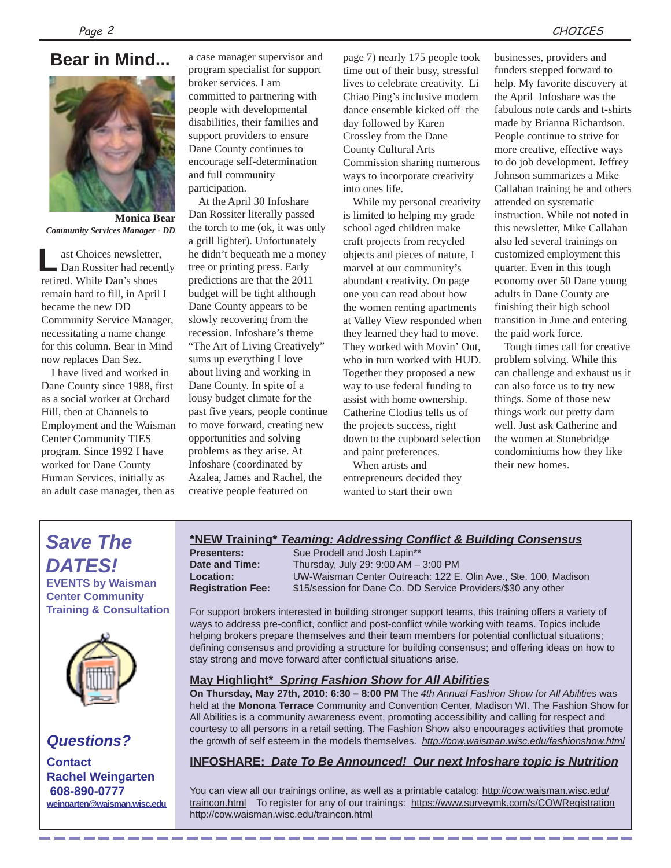#### **Bear in Mind...**



**Monica Bear** *Community Services Manager - DD*

ast Choices newsletter, Dan Rossiter had recently retired. While Dan's shoes remain hard to fill, in April I became the new DD Community Service Manager, necessitating a name change for this column. Bear in Mind now replaces Dan Sez. **L**

I have lived and worked in Dane County since 1988, first as a social worker at Orchard Hill, then at Channels to Employment and the Waisman Center Community TIES program. Since 1992 I have worked for Dane County Human Services, initially as an adult case manager, then as

a case manager supervisor and program specialist for support broker services. I am committed to partnering with people with developmental disabilities, their families and support providers to ensure Dane County continues to encourage self-determination and full community participation.

At the April 30 Infoshare Dan Rossiter literally passed the torch to me (ok, it was only a grill lighter). Unfortunately he didn't bequeath me a money tree or printing press. Early predictions are that the 2011 budget will be tight although Dane County appears to be slowly recovering from the recession. Infoshare's theme "The Art of Living Creatively" sums up everything I love about living and working in Dane County. In spite of a lousy budget climate for the past five years, people continue to move forward, creating new opportunities and solving problems as they arise. At Infoshare (coordinated by Azalea, James and Rachel, the creative people featured on

page 7) nearly 175 people took time out of their busy, stressful lives to celebrate creativity. Li Chiao Ping's inclusive modern dance ensemble kicked off the day followed by Karen Crossley from the Dane County Cultural Arts Commission sharing numerous ways to incorporate creativity into ones life.

While my personal creativity is limited to helping my grade school aged children make craft projects from recycled objects and pieces of nature, I marvel at our community's abundant creativity. On page one you can read about how the women renting apartments at Valley View responded when they learned they had to move. They worked with Movin' Out, who in turn worked with HUD. Together they proposed a new way to use federal funding to assist with home ownership. Catherine Clodius tells us of the projects success, right down to the cupboard selection and paint preferences.

When artists and entrepreneurs decided they wanted to start their own

businesses, providers and funders stepped forward to help. My favorite discovery at the April Infoshare was the fabulous note cards and t-shirts made by Brianna Richardson. People continue to strive for more creative, effective ways to do job development. Jeffrey Johnson summarizes a Mike Callahan training he and others attended on systematic instruction. While not noted in this newsletter, Mike Callahan also led several trainings on customized employment this quarter. Even in this tough economy over 50 Dane young adults in Dane County are finishing their high school transition in June and entering the paid work force.

Tough times call for creative problem solving. While this can challenge and exhaust us it can also force us to try new things. Some of those new things work out pretty darn well. Just ask Catherine and the women at Stonebridge condominiums how they like their new homes.

#### *Save The DATES!* **EVENTS by Waisman Center Community Training & Consultation**

#### *Questions?*

**Contact Rachel Weingarten 608-890-0777 weingarten@waisman.wisc.edu**

#### **\*NEW Training\*** *Teaming: Addressing Conflict & Building Consensus*

\_\_\_\_\_\_\_

**Presenters:** Sue Prodell and Josh Lapin\*\* **Date and Time:** Thursday, July 29: 9:00 AM – 3:00 PM **Location:** UW-Waisman Center Outreach: 122 E. Olin Ave., Ste. 100, Madison **Registration Fee:** \$15/session for Dane Co. DD Service Providers/\$30 any other

For support brokers interested in building stronger support teams, this training offers a variety of ways to address pre-conflict, conflict and post-conflict while working with teams. Topics include helping brokers prepare themselves and their team members for potential conflictual situations; defining consensus and providing a structure for building consensus; and offering ideas on how to stay strong and move forward after conflictual situations arise.

#### **May Highlight\*** *Spring Fashion Show for All Abilities*

**On Thursday, May 27th, 2010: 6:30 – 8:00 PM** The *4th Annual Fashion Show for All Abilities* was held at the **Monona Terrace** Community and Convention Center, Madison WI. The Fashion Show for All Abilities is a community awareness event, promoting accessibility and calling for respect and courtesy to all persons in a retail setting. The Fashion Show also encourages activities that promote the growth of self esteem in the models themselves. *http://cow.waisman.wisc.edu/fashionshow.html*

#### **INFOSHARE:** *Date To Be Announced! Our next Infoshare topic is Nutrition*

You can view all our trainings online, as well as a printable catalog: http://cow.waisman.wisc.edu/ traincon.html To register for any of our trainings: https://www.surveymk.com/s/COWRegistration http://cow.waisman.wisc.edu/traincon.html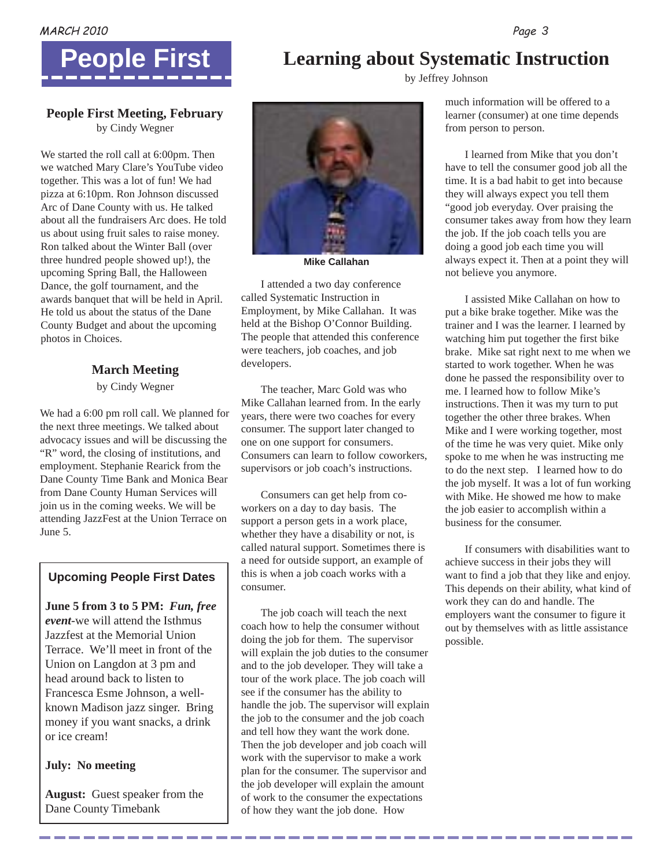

**Learning about Systematic Instruction** by Jeffrey Johnson



#### **People First Meeting, February** by Cindy Wegner

We started the roll call at 6:00pm. Then we watched Mary Clare's YouTube video together. This was a lot of fun! We had pizza at 6:10pm. Ron Johnson discussed Arc of Dane County with us. He talked about all the fundraisers Arc does. He told us about using fruit sales to raise money. Ron talked about the Winter Ball (over three hundred people showed up!), the upcoming Spring Ball, the Halloween Dance, the golf tournament, and the awards banquet that will be held in April. He told us about the status of the Dane County Budget and about the upcoming photos in Choices.

#### **March Meeting**

by Cindy Wegner

We had a 6:00 pm roll call. We planned for the next three meetings. We talked about advocacy issues and will be discussing the "R" word, the closing of institutions, and employment. Stephanie Rearick from the Dane County Time Bank and Monica Bear from Dane County Human Services will join us in the coming weeks. We will be attending JazzFest at the Union Terrace on June 5.

#### **Upcoming People First Dates**

**June 5 from 3 to 5 PM:** *Fun, free event*-we will attend the Isthmus Jazzfest at the Memorial Union Terrace. We'll meet in front of the Union on Langdon at 3 pm and head around back to listen to Francesca Esme Johnson, a wellknown Madison jazz singer. Bring money if you want snacks, a drink or ice cream!

#### **July: No meeting**

**August:** Guest speaker from the Dane County Timebank



**Mike Callahan**

I attended a two day conference called Systematic Instruction in Employment, by Mike Callahan. It was held at the Bishop O'Connor Building. The people that attended this conference were teachers, job coaches, and job developers.

The teacher, Marc Gold was who Mike Callahan learned from. In the early years, there were two coaches for every consumer. The support later changed to one on one support for consumers. Consumers can learn to follow coworkers, supervisors or job coach's instructions.

Consumers can get help from coworkers on a day to day basis. The support a person gets in a work place, whether they have a disability or not, is called natural support. Sometimes there is a need for outside support, an example of this is when a job coach works with a consumer.

The job coach will teach the next coach how to help the consumer without doing the job for them. The supervisor will explain the job duties to the consumer and to the job developer. They will take a tour of the work place. The job coach will see if the consumer has the ability to handle the job. The supervisor will explain the job to the consumer and the job coach and tell how they want the work done. Then the job developer and job coach will work with the supervisor to make a work plan for the consumer. The supervisor and the job developer will explain the amount of work to the consumer the expectations of how they want the job done. How

much information will be offered to a learner (consumer) at one time depends from person to person.

consumer takes away from how they learn I learned from Mike that you don't have to tell the consumer good job all the time. It is a bad habit to get into because they will always expect you tell them "good job everyday. Over praising the the job. If the job coach tells you are doing a good job each time you will always expect it. Then at a point they will not believe you anymore.

I assisted Mike Callahan on how to put a bike brake together. Mike was the trainer and I was the learner. I learned by watching him put together the first bike brake. Mike sat right next to me when we started to work together. When he was done he passed the responsibility over to me. I learned how to follow Mike's instructions. Then it was my turn to put together the other three brakes. When Mike and I were working together, most of the time he was very quiet. Mike only spoke to me when he was instructing me to do the next step. I learned how to do the job myself. It was a lot of fun working with Mike. He showed me how to make the job easier to accomplish within a business for the consumer.

If consumers with disabilities want to achieve success in their jobs they will want to find a job that they like and enjoy. This depends on their ability, what kind of work they can do and handle. The employers want the consumer to figure it out by themselves with as little assistance possible.

------------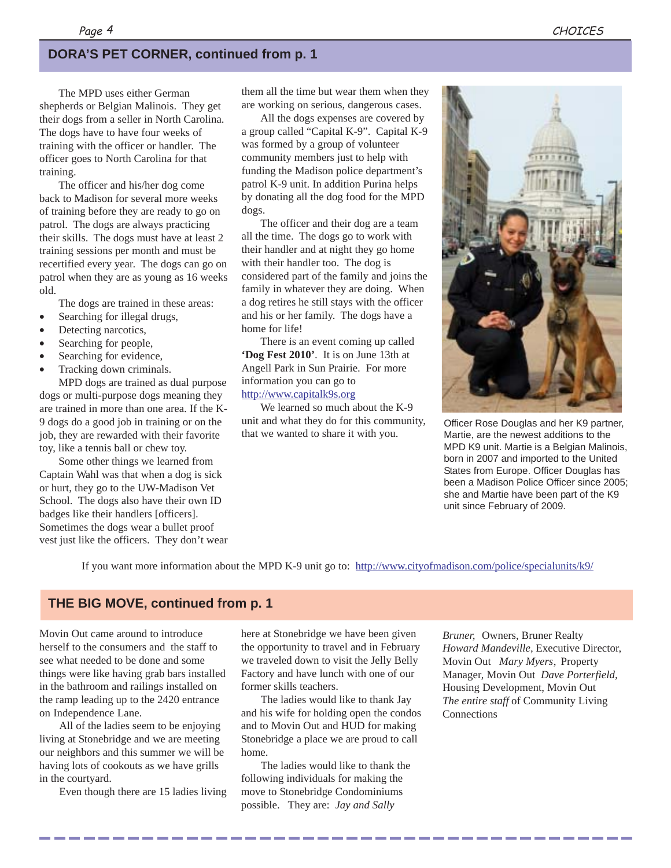#### **DORA'S PET CORNER, continued from p. 1**

The MPD uses either German shepherds or Belgian Malinois. They get their dogs from a seller in North Carolina. The dogs have to have four weeks of training with the officer or handler. The officer goes to North Carolina for that training.

The officer and his/her dog come back to Madison for several more weeks of training before they are ready to go on patrol. The dogs are always practicing their skills. The dogs must have at least 2 training sessions per month and must be recertified every year. The dogs can go on patrol when they are as young as 16 weeks old.

The dogs are trained in these areas:

- Searching for illegal drugs,
- Detecting narcotics,
- Searching for people,
- Searching for evidence,
- Tracking down criminals.

MPD dogs are trained as dual purpose dogs or multi-purpose dogs meaning they are trained in more than one area. If the K-9 dogs do a good job in training or on the job, they are rewarded with their favorite toy, like a tennis ball or chew toy.

Some other things we learned from Captain Wahl was that when a dog is sick or hurt, they go to the UW-Madison Vet School. The dogs also have their own ID badges like their handlers [officers]. Sometimes the dogs wear a bullet proof vest just like the officers. They don't wear them all the time but wear them when they are working on serious, dangerous cases.

All the dogs expenses are covered by a group called "Capital K-9". Capital K-9 was formed by a group of volunteer community members just to help with funding the Madison police department's patrol K-9 unit. In addition Purina helps by donating all the dog food for the MPD dogs.

The officer and their dog are a team all the time. The dogs go to work with their handler and at night they go home with their handler too. The dog is considered part of the family and joins the family in whatever they are doing. When a dog retires he still stays with the officer and his or her family. The dogs have a home for life!

There is an event coming up called **'Dog Fest 2010'**. It is on June 13th at Angell Park in Sun Prairie. For more information you can go to http://www.capitalk9s.org

We learned so much about the K-9 unit and what they do for this community, that we wanted to share it with you.



Officer Rose Douglas and her K9 partner, Martie, are the newest additions to the MPD K9 unit. Martie is a Belgian Malinois, born in 2007 and imported to the United States from Europe. Officer Douglas has been a Madison Police Officer since 2005; she and Martie have been part of the K9 unit since February of 2009.

If you want more information about the MPD K-9 unit go to: http://www.cityofmadison.com/police/specialunits/k9/

#### **THE BIG MOVE, continued from p. 1**

Movin Out came around to introduce herself to the consumers and the staff to see what needed to be done and some things were like having grab bars installed in the bathroom and railings installed on the ramp leading up to the 2420 entrance on Independence Lane.

All of the ladies seem to be enjoying living at Stonebridge and we are meeting our neighbors and this summer we will be having lots of cookouts as we have grills in the courtyard.

Even though there are 15 ladies living

here at Stonebridge we have been given the opportunity to travel and in February we traveled down to visit the Jelly Belly Factory and have lunch with one of our former skills teachers.

The ladies would like to thank Jay and his wife for holding open the condos and to Movin Out and HUD for making Stonebridge a place we are proud to call home.

The ladies would like to thank the following individuals for making the move to Stonebridge Condominiums possible. They are: *Jay and Sally*

*Bruner,* Owners, Bruner Realty *Howard Mandeville,* Executive Director, Movin Out *Mary Myers*, Property Manager, Movin Out *Dave Porterfield,* Housing Development, Movin Out *The entire staff* of Community Living **Connections**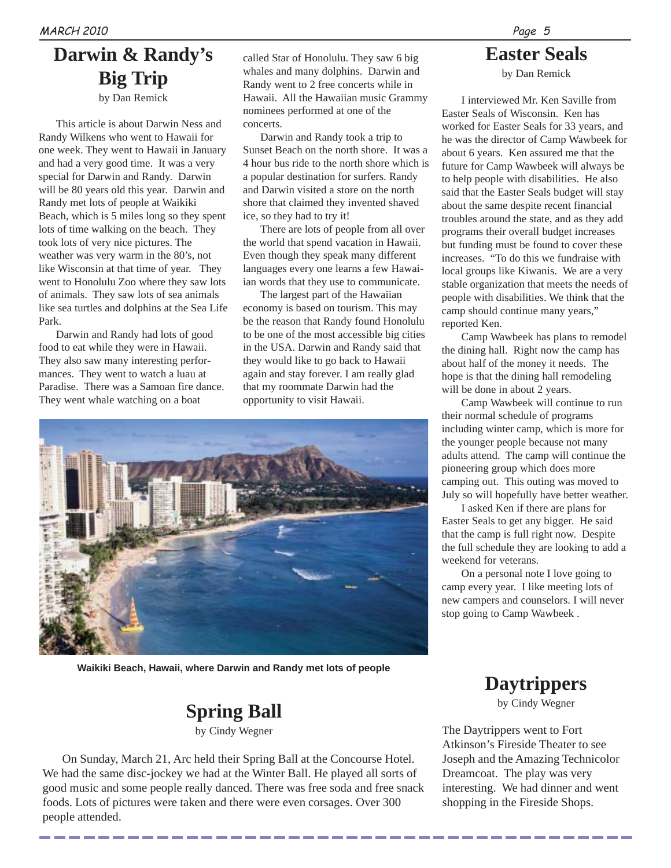# **Darwin & Randy's Big Trip**

by Dan Remick

This article is about Darwin Ness and Randy Wilkens who went to Hawaii for one week. They went to Hawaii in January and had a very good time. It was a very special for Darwin and Randy. Darwin will be 80 years old this year. Darwin and Randy met lots of people at Waikiki Beach, which is 5 miles long so they spent lots of time walking on the beach. They took lots of very nice pictures. The weather was very warm in the 80's, not like Wisconsin at that time of year. They went to Honolulu Zoo where they saw lots of animals. They saw lots of sea animals like sea turtles and dolphins at the Sea Life Park.

Darwin and Randy had lots of good food to eat while they were in Hawaii. They also saw many interesting performances. They went to watch a luau at Paradise. There was a Samoan fire dance. They went whale watching on a boat

called Star of Honolulu. They saw 6 big whales and many dolphins. Darwin and Randy went to 2 free concerts while in Hawaii. All the Hawaiian music Grammy nominees performed at one of the concerts.

Darwin and Randy took a trip to Sunset Beach on the north shore. It was a 4 hour bus ride to the north shore which is a popular destination for surfers. Randy and Darwin visited a store on the north shore that claimed they invented shaved ice, so they had to try it!

There are lots of people from all over the world that spend vacation in Hawaii. Even though they speak many different languages every one learns a few Hawaiian words that they use to communicate.

The largest part of the Hawaiian economy is based on tourism. This may be the reason that Randy found Honolulu to be one of the most accessible big cities in the USA. Darwin and Randy said that they would like to go back to Hawaii again and stay forever. I am really glad that my roommate Darwin had the opportunity to visit Hawaii.



**Waikiki Beach, Hawaii, where Darwin and Randy met lots of people**

#### **Spring Ball** by Cindy Wegner

On Sunday, March 21, Arc held their Spring Ball at the Concourse Hotel. We had the same disc-jockey we had at the Winter Ball. He played all sorts of good music and some people really danced. There was free soda and free snack foods. Lots of pictures were taken and there were even corsages. Over 300 people attended.

Page 5

## **Easter Seals**

by Dan Remick

I interviewed Mr. Ken Saville from Easter Seals of Wisconsin. Ken has worked for Easter Seals for 33 years, and he was the director of Camp Wawbeek for about 6 years. Ken assured me that the future for Camp Wawbeek will always be to help people with disabilities. He also said that the Easter Seals budget will stay about the same despite recent financial troubles around the state, and as they add programs their overall budget increases but funding must be found to cover these increases. "To do this we fundraise with local groups like Kiwanis. We are a very stable organization that meets the needs of people with disabilities. We think that the camp should continue many years," reported Ken.

Camp Wawbeek has plans to remodel the dining hall. Right now the camp has about half of the money it needs. The hope is that the dining hall remodeling will be done in about 2 years.

Camp Wawbeek will continue to run their normal schedule of programs including winter camp, which is more for the younger people because not many adults attend. The camp will continue the pioneering group which does more camping out. This outing was moved to July so will hopefully have better weather.

I asked Ken if there are plans for Easter Seals to get any bigger. He said that the camp is full right now. Despite the full schedule they are looking to add a weekend for veterans.

On a personal note I love going to camp every year. I like meeting lots of new campers and counselors. I will never stop going to Camp Wawbeek .

# **Daytrippers**

by Cindy Wegner

The Daytrippers went to Fort Atkinson's Fireside Theater to see Joseph and the Amazing Technicolor Dreamcoat. The play was very interesting. We had dinner and went shopping in the Fireside Shops.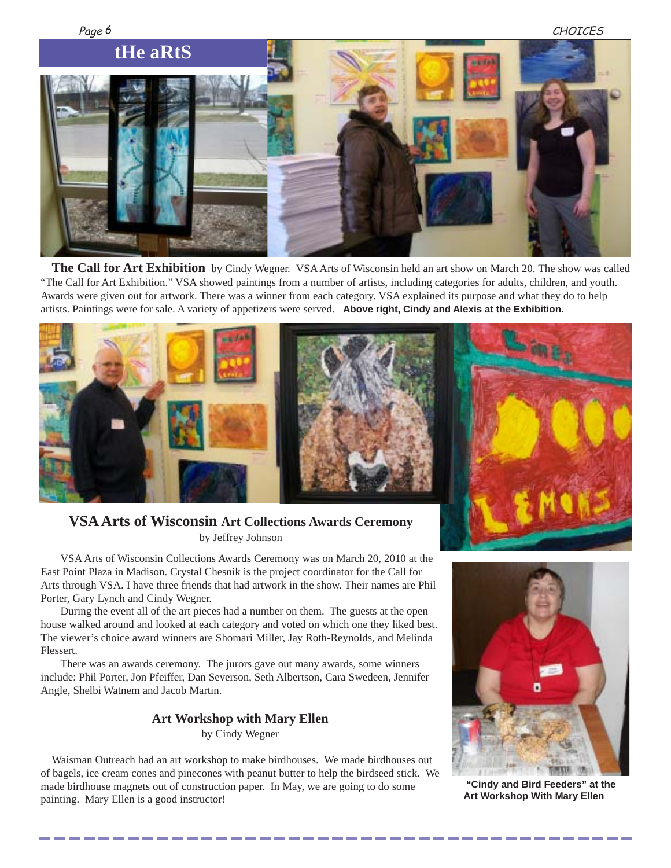

**The Call for Art Exhibition** by Cindy Wegner. VSA Arts of Wisconsin held an art show on March 20. The show was called "The Call for Art Exhibition." VSA showed paintings from a number of artists, including categories for adults, children, and youth. Awards were given out for artwork. There was a winner from each category. VSA explained its purpose and what they do to help artists. Paintings were for sale. A variety of appetizers were served. **Above right, Cindy and Alexis at the Exhibition.**



#### **VSA Arts of Wisconsin Art Collections Awards Ceremony** by Jeffrey Johnson

VSA Arts of Wisconsin Collections Awards Ceremony was on March 20, 2010 at the East Point Plaza in Madison. Crystal Chesnik is the project coordinator for the Call for Arts through VSA. I have three friends that had artwork in the show. Their names are Phil Porter, Gary Lynch and Cindy Wegner.

During the event all of the art pieces had a number on them. The guests at the open house walked around and looked at each category and voted on which one they liked best. The viewer's choice award winners are Shomari Miller, Jay Roth-Reynolds, and Melinda Flessert.

There was an awards ceremony. The jurors gave out many awards, some winners include: Phil Porter, Jon Pfeiffer, Dan Severson, Seth Albertson, Cara Swedeen, Jennifer Angle, Shelbi Watnem and Jacob Martin.

#### **Art Workshop with Mary Ellen** by Cindy Wegner

Waisman Outreach had an art workshop to make birdhouses. We made birdhouses out of bagels, ice cream cones and pinecones with peanut butter to help the birdseed stick. We made birdhouse magnets out of construction paper. In May, we are going to do some painting. Mary Ellen is a good instructor!



 **"Cindy and Bird Feeders" at the Art Workshop With Mary Ellen**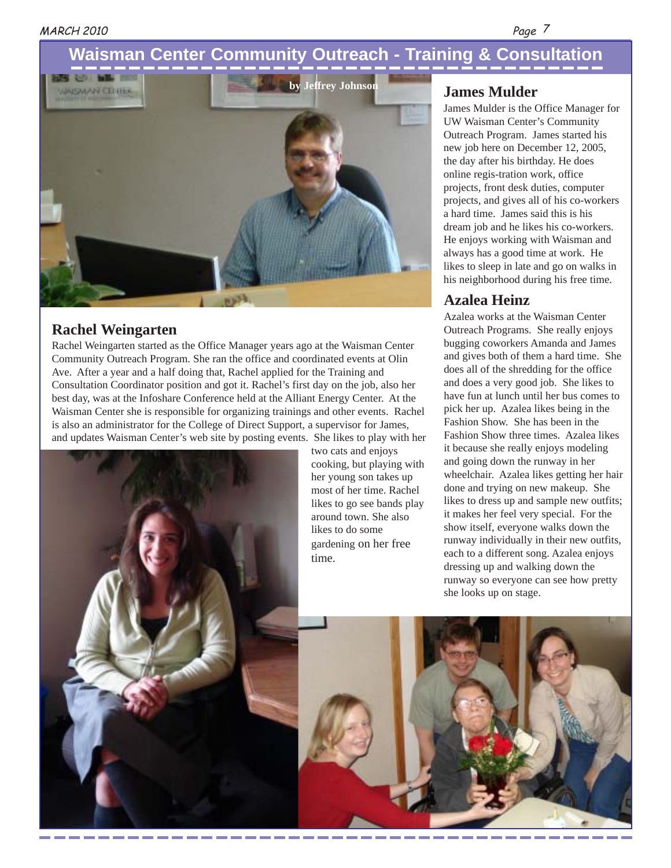Page 7

### **Waisman Center Community Outreach - Training & Consultation**



#### **Rachel Weingarten**

Rachel Weingarten started as the Office Manager years ago at the Waisman Center Community Outreach Program. She ran the office and coordinated events at Olin Ave. After a year and a half doing that, Rachel applied for the Training and Consultation Coordinator position and got it. Rachel's first day on the job, also her best day, was at the Infoshare Conference held at the Alliant Energy Center. At the Waisman Center she is responsible for organizing trainings and other events. Rachel is also an administrator for the College of Direct Support, a supervisor for James, and updates Waisman Center's web site by posting events. She likes to play with her



two cats and enjoys cooking, but playing with her young son takes up most of her time. Rachel likes to go see bands play around town. She also likes to do some gardening on her free time.

#### **James Mulder**

James Mulder is the Office Manager for UW Waisman Center's Community Outreach Program. James started his new job here on December 12, 2005, the day after his birthday. He does online regis-tration work, office projects, front desk duties, computer projects, and gives all of his co-workers a hard time. James said this is his dream job and he likes his co-workers. He enjoys working with Waisman and always has a good time at work. He likes to sleep in late and go on walks in his neighborhood during his free time.

#### **Azalea Heinz**

Azalea works at the Waisman Center Outreach Programs. She really enjoys bugging coworkers Amanda and James and gives both of them a hard time. She does all of the shredding for the office and does a very good job. She likes to have fun at lunch until her bus comes to pick her up. Azalea likes being in the Fashion Show. She has been in the Fashion Show three times. Azalea likes it because she really enjoys modeling and going down the runway in her wheelchair. Azalea likes getting her hair done and trying on new makeup. She likes to dress up and sample new outfits; it makes her feel very special. For the show itself, everyone walks down the runway individually in their new outfits, each to a different song. Azalea enjoys dressing up and walking down the runway so everyone can see how pretty she looks up on stage.

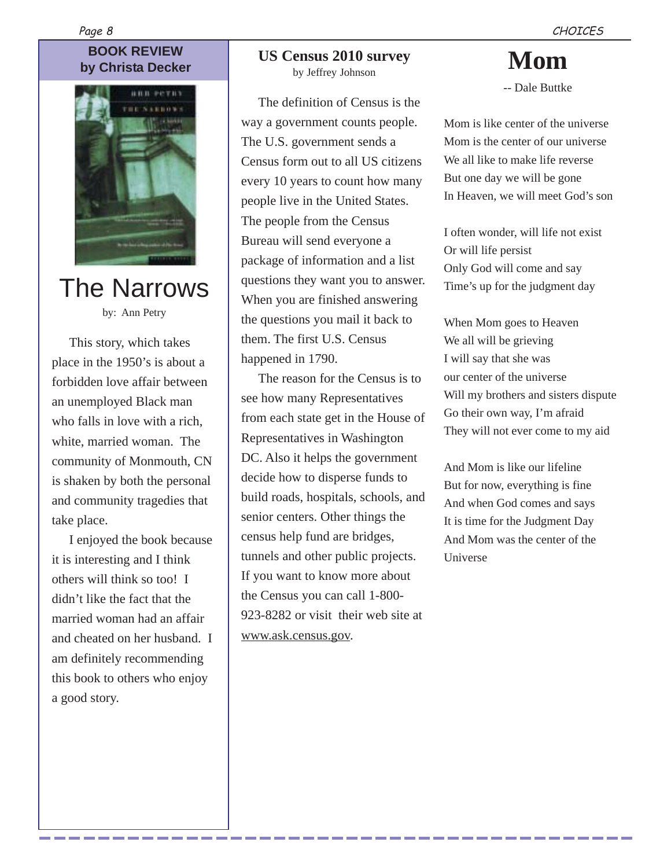# **BOOK REVIEW**

Page 8



The Narrows by: Ann Petry

This story, which takes

place in the 1950's is about a forbidden love affair between an unemployed Black man who falls in love with a rich, white, married woman. The community of Monmouth, CN is shaken by both the personal and community tragedies that take place.

I enjoyed the book because it is interesting and I think others will think so too! I didn't like the fact that the married woman had an affair and cheated on her husband. I am definitely recommending this book to others who enjoy a good story.

# **by Christa Decker Mom**<br> **Example 10 SOS Census 2010 survey Mom**

by Jeffrey Johnson

The definition of Census is the way a government counts people. The U.S. government sends a Census form out to all US citizens every 10 years to count how many people live in the United States. The people from the Census Bureau will send everyone a package of information and a list questions they want you to answer. When you are finished answering the questions you mail it back to them. The first U.S. Census happened in 1790.

The reason for the Census is to see how many Representatives from each state get in the House of Representatives in Washington DC. Also it helps the government decide how to disperse funds to build roads, hospitals, schools, and senior centers. Other things the census help fund are bridges, tunnels and other public projects. If you want to know more about the Census you can call 1-800- 923-8282 or visit their web site at www.ask.census.gov.

-- Dale Buttke

Mom is like center of the universe Mom is the center of our universe We all like to make life reverse But one day we will be gone In Heaven, we will meet God's son

I often wonder, will life not exist Or will life persist Only God will come and say Time's up for the judgment day

When Mom goes to Heaven We all will be grieving I will say that she was our center of the universe Will my brothers and sisters dispute Go their own way, I'm afraid They will not ever come to my aid

And Mom is like our lifeline But for now, everything is fine And when God comes and says It is time for the Judgment Day And Mom was the center of the Universe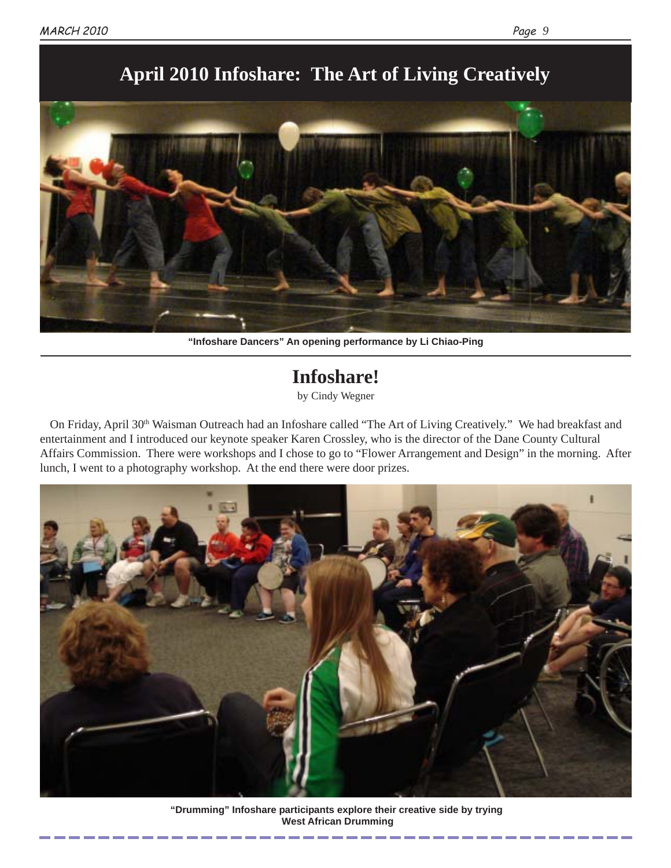

## **April 2010 Infoshare: The Art of Living Creatively**

**"Infoshare Dancers" An opening performance by Li Chiao-Ping**

# **Infoshare!**

by Cindy Wegner

On Friday, April 30<sup>th</sup> Waisman Outreach had an Infoshare called "The Art of Living Creatively." We had breakfast and entertainment and I introduced our keynote speaker Karen Crossley, who is the director of the Dane County Cultural Affairs Commission. There were workshops and I chose to go to "Flower Arrangement and Design" in the morning. After lunch, I went to a photography workshop. At the end there were door prizes.



**"Drumming" Infoshare participants explore their creative side by trying West African Drumming**